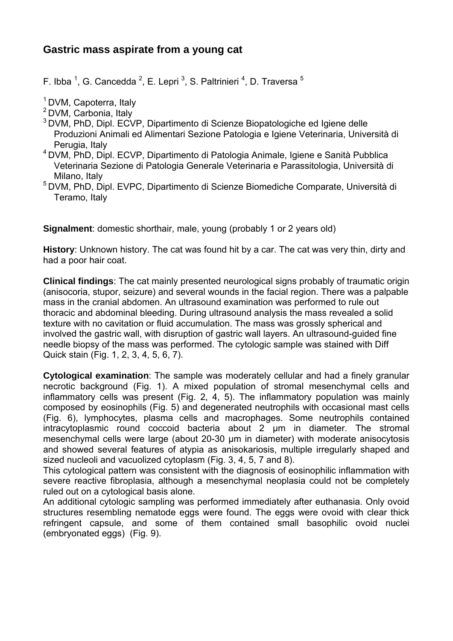# **Gastric mass aspirate from a young cat**

F. Ibba <sup>1</sup>, G. Cancedda <sup>2</sup>, E. Lepri <sup>3</sup>, S. Paltrinieri <sup>4</sup>, D. Traversa <sup>5</sup>

<sup>1</sup> DVM, Capoterra, Italy

- 2 DVM, Carbonia, Italy
- 3 DVM, PhD, Dipl. ECVP, Dipartimento di Scienze Biopatologiche ed Igiene delle Produzioni Animali ed Alimentari Sezione Patologia e Igiene Veterinaria, Università di Perugia, Italy
- 4 DVM, PhD, Dipl. ECVP, Dipartimento di Patologia Animale, Igiene e Sanità Pubblica Veterinaria Sezione di Patologia Generale Veterinaria e Parassitologia, Università di Milano, Italy
- 5 DVM, PhD, Dipl. EVPC, Dipartimento di Scienze Biomediche Comparate, Università di Teramo, Italy

**Signalment:** domestic shorthair, male, young (probably 1 or 2 years old)

**History**: Unknown history. The cat was found hit by a car. The cat was very thin, dirty and had a poor hair coat.

**Clinical findings**: The cat mainly presented neurological signs probably of traumatic origin (anisocoria, stupor, seizure) and several wounds in the facial region. There was a palpable mass in the cranial abdomen. An ultrasound examination was performed to rule out thoracic and abdominal bleeding. During ultrasound analysis the mass revealed a solid texture with no cavitation or fluid accumulation. The mass was grossly spherical and involved the gastric wall, with disruption of gastric wall layers. An ultrasound-guided fine needle biopsy of the mass was performed. The cytologic sample was stained with Diff Quick stain (Fig. 1, 2, 3, 4, 5, 6, 7).

**Cytological examination**: The sample was moderately cellular and had a finely granular necrotic background (Fig. 1). A mixed population of stromal mesenchymal cells and inflammatory cells was present (Fig. 2, 4, 5). The inflammatory population was mainly composed by eosinophils (Fig. 5) and degenerated neutrophils with occasional mast cells (Fig. 6), lymphocytes, plasma cells and macrophages. Some neutrophils contained intracytoplasmic round coccoid bacteria about 2 μm in diameter. The stromal mesenchymal cells were large (about 20-30 um in diameter) with moderate anisocytosis and showed several features of atypia as anisokariosis, multiple irregularly shaped and sized nucleoli and vacuolized cytoplasm (Fig. 3, 4, 5, 7 and 8).

This cytological pattern was consistent with the diagnosis of eosinophilic inflammation with severe reactive fibroplasia, although a mesenchymal neoplasia could not be completely ruled out on a cytological basis alone.

An additional cytologic sampling was performed immediately after euthanasia. Only ovoid structures resembling nematode eggs were found. The eggs were ovoid with clear thick refringent capsule, and some of them contained small basophilic ovoid nuclei (embryonated eggs) (Fig. 9).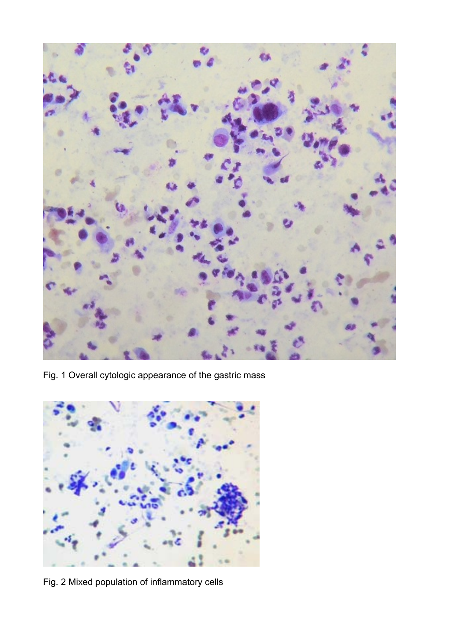

Fig. 1 Overall cytologic appearance of the gastric mass



Fig. 2 Mixed population of inflammatory cells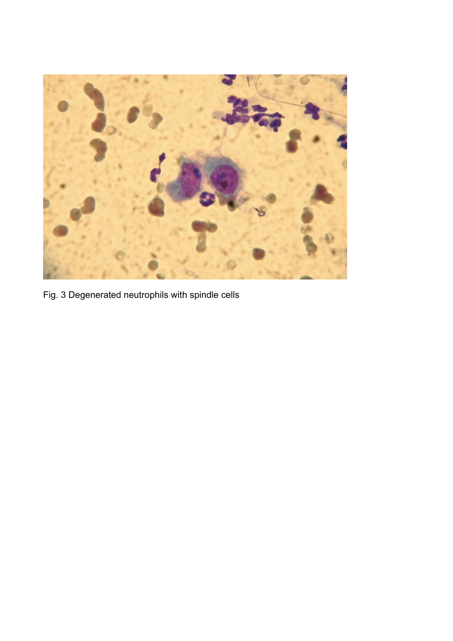

Fig. 3 Degenerated neutrophils with spindle cells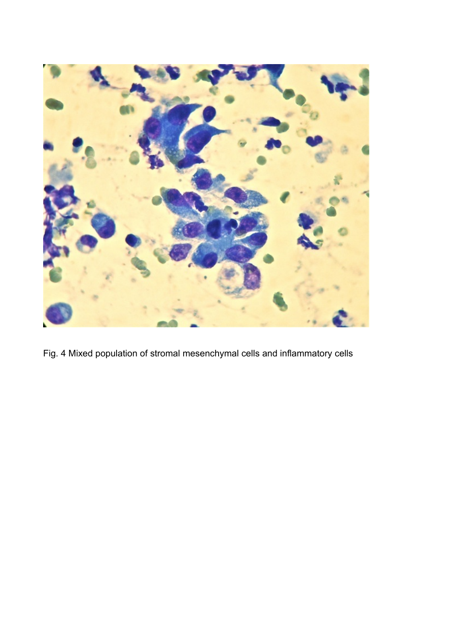

Fig. 4 Mixed population of stromal mesenchymal cells and inflammatory cells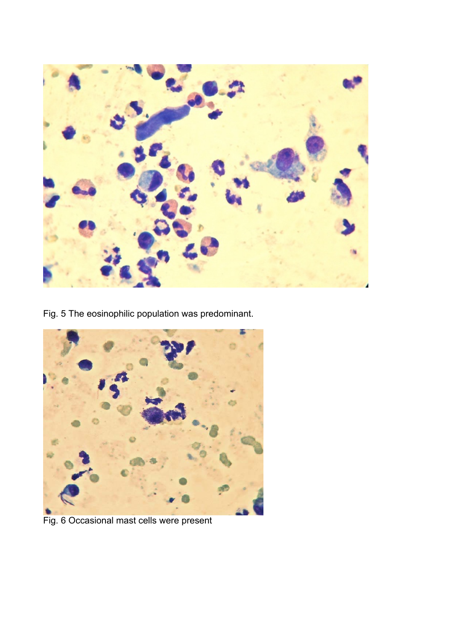

Fig. 5 The eosinophilic population was predominant.



Fig. 6 Occasional mast cells were present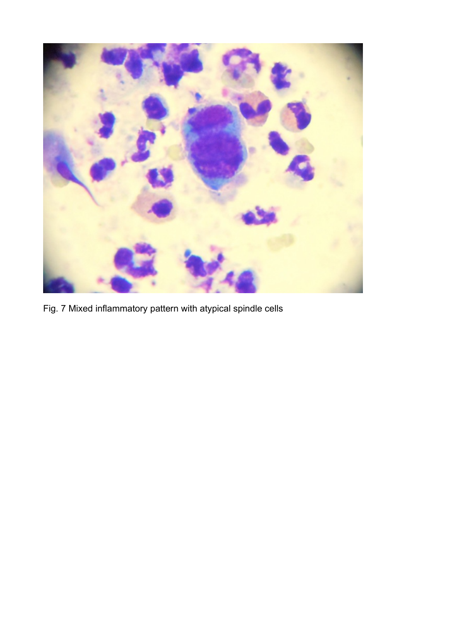

Fig. 7 Mixed inflammatory pattern with atypical spindle cells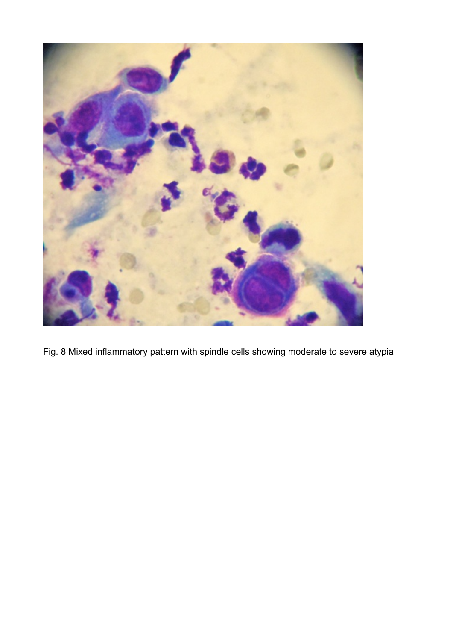

Fig. 8 Mixed inflammatory pattern with spindle cells showing moderate to severe atypia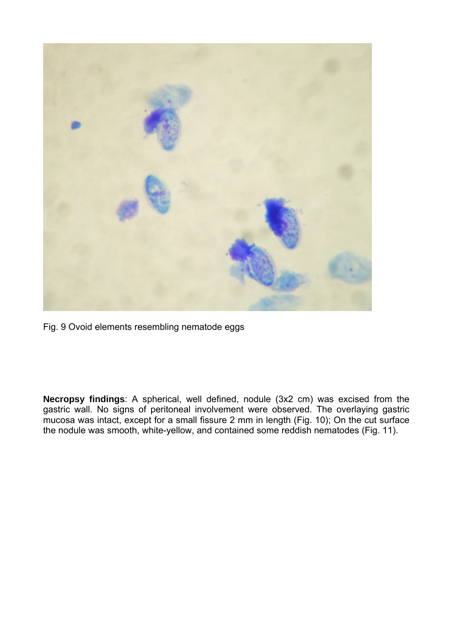

Fig. 9 Ovoid elements resembling nematode eggs

**Necropsy findings**: A spherical, well defined, nodule (3x2 cm) was excised from the gastric wall. No signs of peritoneal involvement were observed. The overlaying gastric mucosa was intact, except for a small fissure 2 mm in length (Fig. 10); On the cut surface the nodule was smooth, white-yellow, and contained some reddish nematodes (Fig. 11).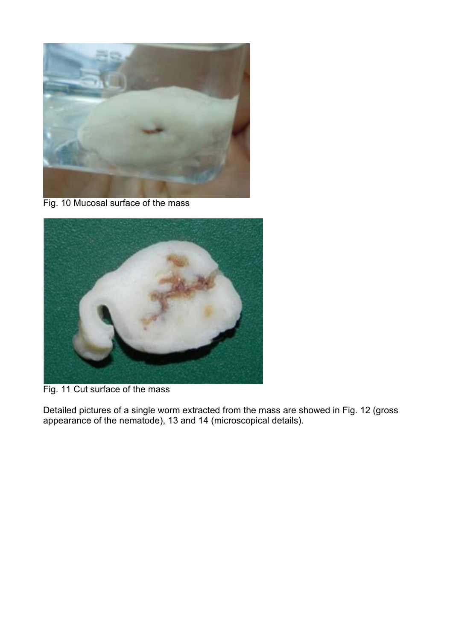

Fig. 10 Mucosal surface of the mass



Fig. 11 Cut surface of the mass

Detailed pictures of a single worm extracted from the mass are showed in Fig. 12 (gross appearance of the nematode), 13 and 14 (microscopical details).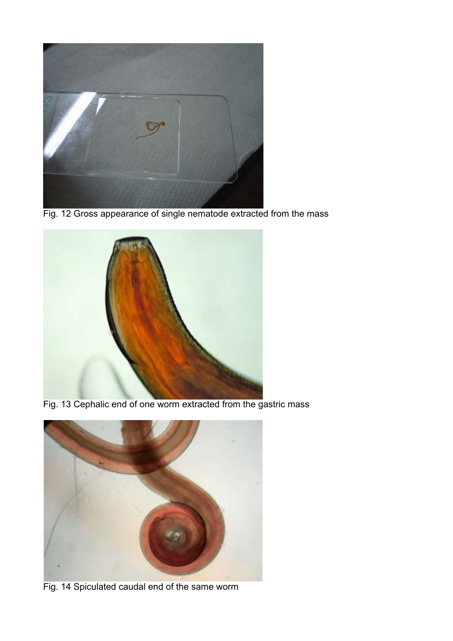

Fig. 12 Gross appearance of single nematode extracted from the mass



Fig. 13 Cephalic end of one worm extracted from the gastric mass



Fig. 14 Spiculated caudal end of the same worm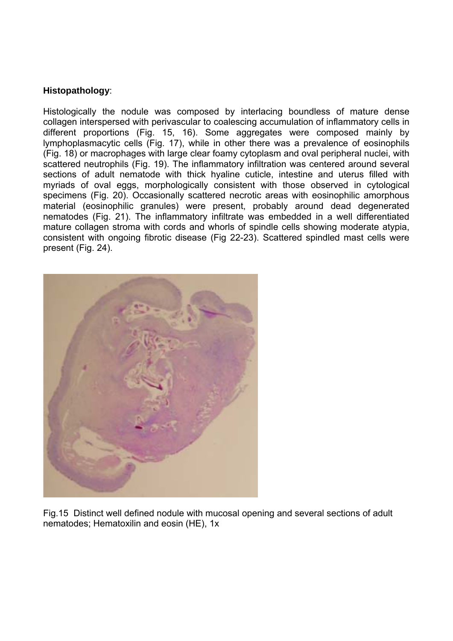### **Histopathology**:

Histologically the nodule was composed by interlacing boundless of mature dense collagen interspersed with perivascular to coalescing accumulation of inflammatory cells in different proportions (Fig. 15, 16). Some aggregates were composed mainly by lymphoplasmacytic cells (Fig. 17), while in other there was a prevalence of eosinophils (Fig. 18) or macrophages with large clear foamy cytoplasm and oval peripheral nuclei, with scattered neutrophils (Fig. 19). The inflammatory infiltration was centered around several sections of adult nematode with thick hyaline cuticle, intestine and uterus filled with myriads of oval eggs, morphologically consistent with those observed in cytological specimens (Fig. 20). Occasionally scattered necrotic areas with eosinophilic amorphous material (eosinophilic granules) were present, probably around dead degenerated nematodes (Fig. 21). The inflammatory infiltrate was embedded in a well differentiated mature collagen stroma with cords and whorls of spindle cells showing moderate atypia, consistent with ongoing fibrotic disease (Fig 22-23). Scattered spindled mast cells were present (Fig. 24).



Fig.15 Distinct well defined nodule with mucosal opening and several sections of adult nematodes; Hematoxilin and eosin (HE), 1x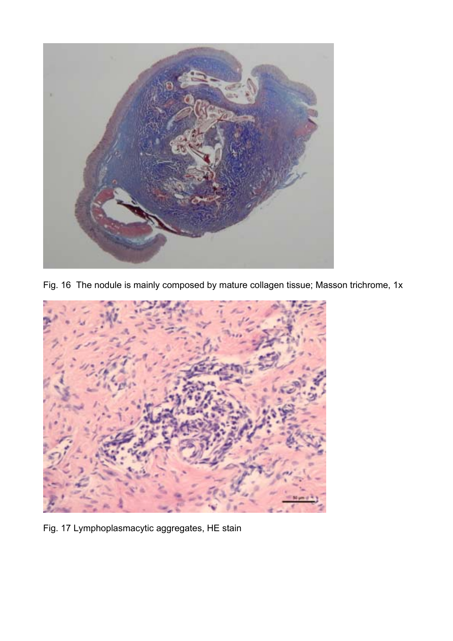

Fig. 16 The nodule is mainly composed by mature collagen tissue; Masson trichrome, 1x



Fig. 17 Lymphoplasmacytic aggregates, HE stain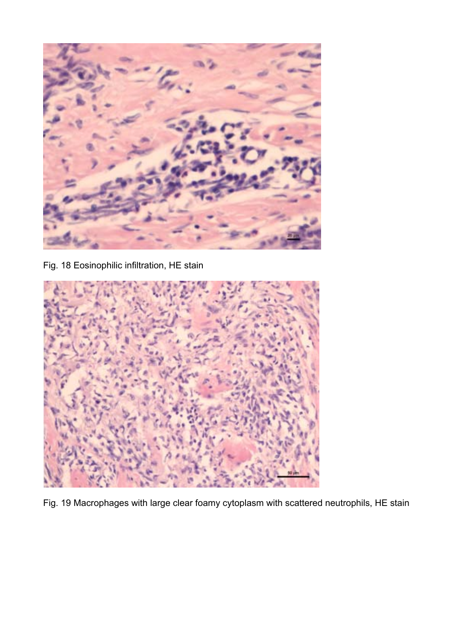

Fig. 18 Eosinophilic infiltration, HE stain



Fig. 19 Macrophages with large clear foamy cytoplasm with scattered neutrophils, HE stain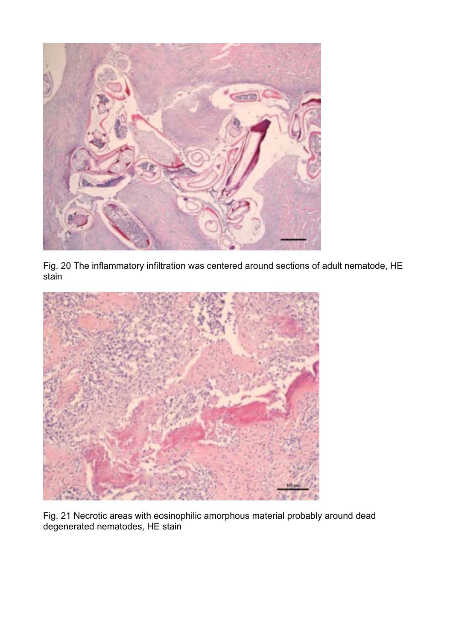

Fig. 20 The inflammatory infiltration was centered around sections of adult nematode, HE stain



Fig. 21 Necrotic areas with eosinophilic amorphous material probably around dead degenerated nematodes, HE stain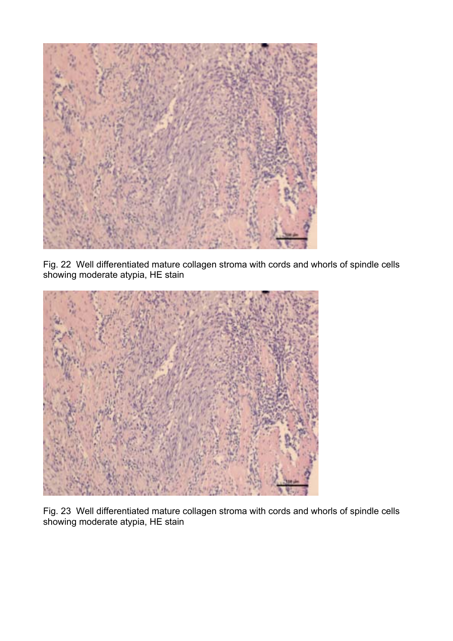

Fig. 22 Well differentiated mature collagen stroma with cords and whorls of spindle cells showing moderate atypia, HE stain



Fig. 23 Well differentiated mature collagen stroma with cords and whorls of spindle cells showing moderate atypia, HE stain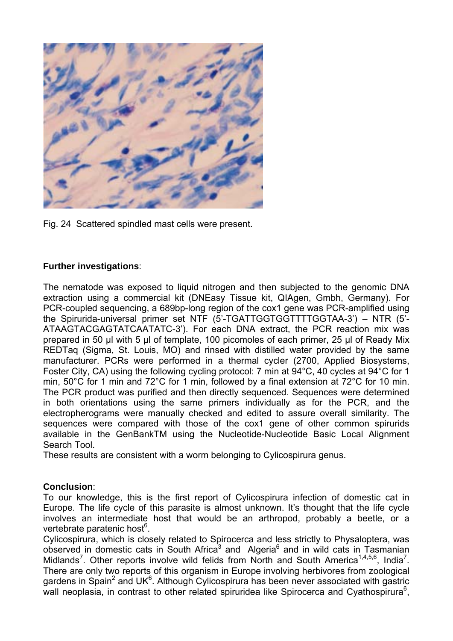

Fig. 24 Scattered spindled mast cells were present.

### **Further investigations**:

The nematode was exposed to liquid nitrogen and then subjected to the genomic DNA extraction using a commercial kit (DNEasy Tissue kit, QIAgen, Gmbh, Germany). For PCR-coupled sequencing, a 689bp-long region of the cox1 gene was PCR-amplified using the Spirurida-universal primer set NTF (5'-TGATTGGTGGTTTTGGTAA-3') – NTR (5'- ATAAGTACGAGTATCAATATC-3'). For each DNA extract, the PCR reaction mix was prepared in 50 μl with 5 μl of template, 100 picomoles of each primer, 25 μl of Ready Mix REDTaq (Sigma, St. Louis, MO) and rinsed with distilled water provided by the same manufacturer. PCRs were performed in a thermal cycler (2700, Applied Biosystems, Foster City, CA) using the following cycling protocol: 7 min at 94°C, 40 cycles at 94°C for 1 min, 50°C for 1 min and 72°C for 1 min, followed by a final extension at 72°C for 10 min. The PCR product was purified and then directly sequenced. Sequences were determined in both orientations using the same primers individually as for the PCR, and the electropherograms were manually checked and edited to assure overall similarity. The sequences were compared with those of the cox1 gene of other common spirurids available in the GenBankTM using the Nucleotide-Nucleotide Basic Local Alignment Search Tool.

These results are consistent with a worm belonging to Cylicospirura genus.

#### **Conclusion**:

To our knowledge, this is the first report of Cylicospirura infection of domestic cat in Europe. The life cycle of this parasite is almost unknown. It's thought that the life cycle involves an intermediate host that would be an arthropod, probably a beetle, or a vertebrate paratenic host<sup>6</sup>.

Cylicospirura, which is closely related to Spirocerca and less strictly to Physaloptera, was observed in domestic cats in South Africa<sup>3</sup> and Algeria<sup>6</sup> and in wild cats in Tasmanian Midlands<sup>7</sup>. Other reports involve wild felids from North and South America<sup>1,4,5,6</sup>, India<sup>7</sup>. There are only two reports of this organism in Europe involving herbivores from zoological gardens in Spain<sup>2</sup> and UK<sup>6</sup>. Although Cylicospirura has been never associated with gastric wall neoplasia, in contrast to other related spiruridea like Spirocerca and Cyathospirura<sup>6</sup>,